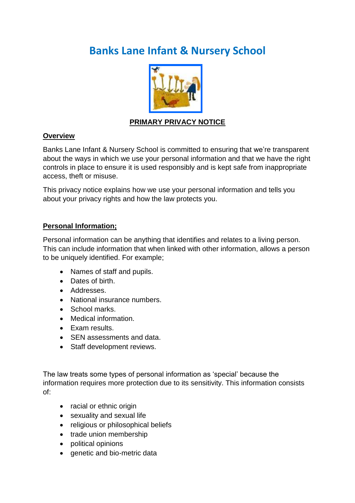# **Banks Lane Infant & Nursery School**



## **PRIMARY PRIVACY NOTICE**

#### **Overview**

Banks Lane Infant & Nursery School is committed to ensuring that we're transparent about the ways in which we use your personal information and that we have the right controls in place to ensure it is used responsibly and is kept safe from inappropriate access, theft or misuse.

This privacy notice explains how we use your personal information and tells you about your privacy rights and how the law protects you.

## **Personal Information;**

Personal information can be anything that identifies and relates to a living person. This can include information that when linked with other information, allows a person to be uniquely identified. For example;

- Names of staff and pupils.
- Dates of birth.
- Addresses.
- National insurance numbers.
- School marks.
- Medical information.
- Exam results.
- SEN assessments and data.
- Staff development reviews.

The law treats some types of personal information as 'special' because the information requires more protection due to its sensitivity. This information consists of:

- racial or ethnic origin
- sexuality and sexual life
- religious or philosophical beliefs
- trade union membership
- political opinions
- genetic and bio-metric data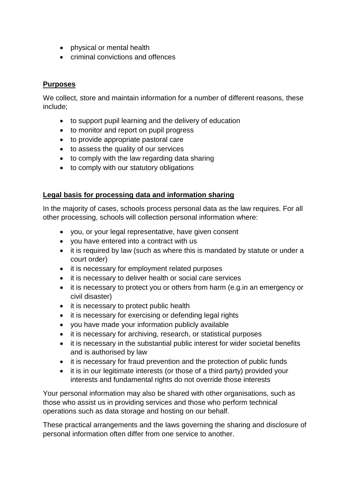- physical or mental health
- criminal convictions and offences

### **Purposes**

We collect, store and maintain information for a number of different reasons, these include;

- to support pupil learning and the delivery of education
- to monitor and report on pupil progress
- to provide appropriate pastoral care
- to assess the quality of our services
- to comply with the law regarding data sharing
- to comply with our statutory obligations

#### **Legal basis for processing data and information sharing**

In the majority of cases, schools process personal data as the law requires. For all other processing, schools will collection personal information where:

- you, or your legal representative, have given consent
- you have entered into a contract with us
- it is required by law (such as where this is mandated by statute or under a court order)
- it is necessary for employment related purposes
- it is necessary to deliver health or social care services
- it is necessary to protect you or others from harm (e.g.in an emergency or civil disaster)
- it is necessary to protect public health
- it is necessary for exercising or defending legal rights
- you have made your information publicly available
- it is necessary for archiving, research, or statistical purposes
- it is necessary in the substantial public interest for wider societal benefits and is authorised by law
- it is necessary for fraud prevention and the protection of public funds
- it is in our legitimate interests (or those of a third party) provided your interests and fundamental rights do not override those interests

Your personal information may also be shared with other organisations, such as those who assist us in providing services and those who perform technical operations such as data storage and hosting on our behalf.

These practical arrangements and the laws governing the sharing and disclosure of personal information often differ from one service to another.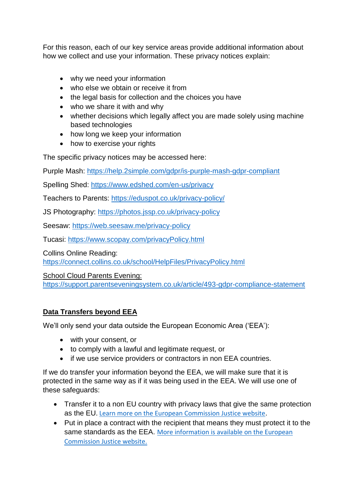For this reason, each of our key service areas provide additional information about how we collect and use your information. These privacy notices explain:

- why we need your information
- who else we obtain or receive it from
- the legal basis for collection and the choices you have
- who we share it with and why
- whether decisions which legally affect you are made solely using machine based technologies
- how long we keep your information
- how to exercise your rights

The specific privacy notices may be accessed here:

Purple Mash:<https://help.2simple.com/gdpr/is-purple-mash-gdpr-compliant>

Spelling Shed:<https://www.edshed.com/en-us/privacy>

Teachers to Parents: <https://eduspot.co.uk/privacy-policy/>

JS Photography:<https://photos.jssp.co.uk/privacy-policy>

Seesaw:<https://web.seesaw.me/privacy-policy>

Tucasi:<https://www.scopay.com/privacyPolicy.html>

Collins Online Reading:

<https://connect.collins.co.uk/school/HelpFiles/PrivacyPolicy.html>

School Cloud Parents Evening:

https://support.parentseveningsystem.co.uk/article/493-gdpr-compliance-statement

## **Data Transfers beyond EEA**

We'll only send your data outside the European Economic Area ('EEA'):

- with your consent, or
- to comply with a lawful and legitimate request, or
- if we use service providers or contractors in non EEA countries.

If we do transfer your information beyond the EEA, we will make sure that it is protected in the same way as if it was being used in the EEA. We will use one of these safeguards:

- Transfer it to a non EU country with privacy laws that give the same protection as the EU. [Learn more on the European Commission Justice website.](https://ec.europa.eu/info/law/law-topic/data-protection_en)
- Put in place a contract with the recipient that means they must protect it to the same standards as the EEA. [More information is available on the European](http://ec.europa.eu/justice/data-protection/international-transfers/adequacy/index_en.htm)  [Commission Justice website.](http://ec.europa.eu/justice/data-protection/international-transfers/adequacy/index_en.htm)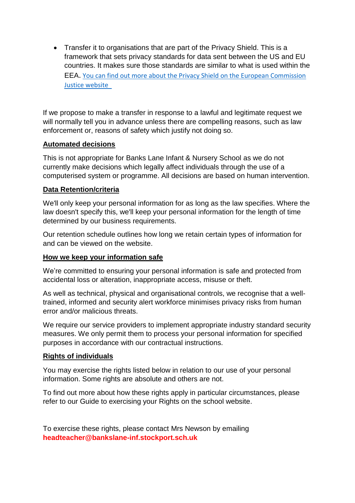• Transfer it to organisations that are part of the Privacy Shield. This is a framework that sets privacy standards for data sent between the US and EU countries. It makes sure those standards are similar to what is used within the EEA. [You can find out more about the Privacy Shield on the European Commission](https://ec.europa.eu/info/law/law-topic/data-protection/data-transfers-outside-eu/eu-us-privacy-shield_en)  [Justice website](https://ec.europa.eu/info/law/law-topic/data-protection/data-transfers-outside-eu/eu-us-privacy-shield_en) 

If we propose to make a transfer in response to a lawful and legitimate request we will normally tell you in advance unless there are compelling reasons, such as law enforcement or, reasons of safety which justify not doing so.

#### **Automated decisions**

This is not appropriate for Banks Lane Infant & Nursery School as we do not currently make decisions which legally affect individuals through the use of a computerised system or programme. All decisions are based on human intervention.

#### **Data Retention/criteria**

We'll only keep your personal information for as long as the law specifies. Where the law doesn't specify this, we'll keep your personal information for the length of time determined by our business requirements.

Our retention schedule outlines how long we retain certain types of information for and can be viewed on the website.

## **How we keep your information safe**

We're committed to ensuring your personal information is safe and protected from accidental loss or alteration, inappropriate access, misuse or theft.

As well as technical, physical and organisational controls, we recognise that a welltrained, informed and security alert workforce minimises privacy risks from human error and/or malicious threats.

We require our service providers to implement appropriate industry standard security measures. We only permit them to process your personal information for specified purposes in accordance with our contractual instructions.

## **Rights of individuals**

You may exercise the rights listed below in relation to our use of your personal information. Some rights are absolute and others are not.

To find out more about how these rights apply in particular circumstances, please refer to our Guide to exercising your Rights on the school website.

To exercise these rights, please contact Mrs Newson by emailing **headteacher@bankslane-inf.stockport.sch.uk**